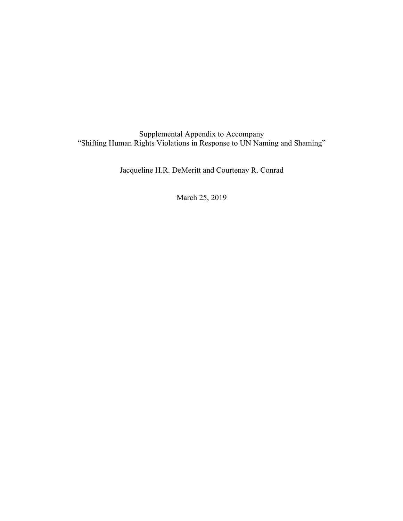Supplemental Appendix to Accompany "Shifting Human Rights Violations in Response to UN Naming and Shaming"

Jacqueline H.R. DeMeritt and Courtenay R. Conrad

March 25, 2019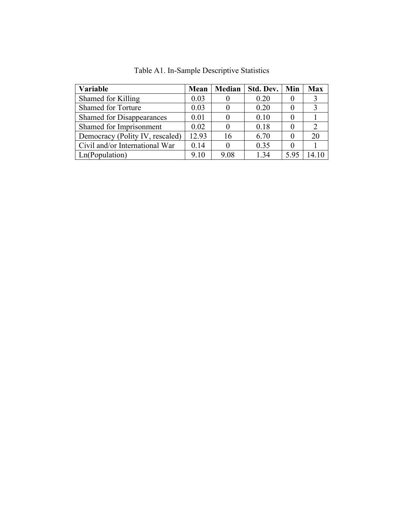| Variable                         | Mean  | <b>Median</b> | Std. Dev. | Min  | Max |
|----------------------------------|-------|---------------|-----------|------|-----|
| Shamed for Killing               | 0.03  |               | 0.20      |      |     |
| <b>Shamed for Torture</b>        | 0.03  |               | 0.20      |      |     |
| <b>Shamed for Disappearances</b> | 0.01  |               | 0.10      |      |     |
| Shamed for Imprisonment          | 0.02  |               | 0.18      |      |     |
| Democracy (Polity IV, rescaled)  | 12.93 | 16            | 6.70      |      | 20  |
| Civil and/or International War   | 0.14  |               | 0.35      |      |     |
| Ln(Population)                   | 9.10  | 9.08          | 1.34      | 5.95 |     |

Table A1. In-Sample Descriptive Statistics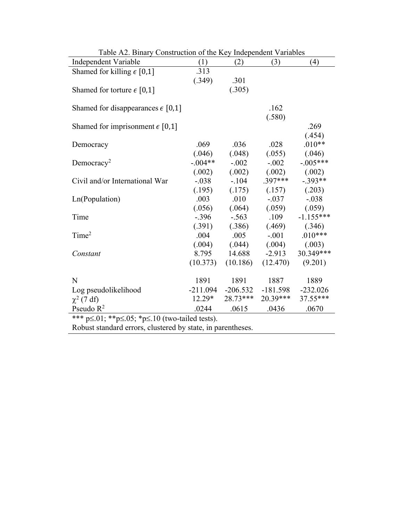| Table <i>TL</i> : Dinary Construction of the Key maependent variables |            |            |                            |             |  |
|-----------------------------------------------------------------------|------------|------------|----------------------------|-------------|--|
| Independent Variable                                                  | (1)        | (2)        | (3)                        | (4)         |  |
| Shamed for killing $\epsilon$ [0,1]                                   | .313       |            |                            |             |  |
|                                                                       | (.349)     | .301       |                            |             |  |
| Shamed for torture $\epsilon$ [0,1]                                   |            | (.305)     |                            |             |  |
|                                                                       |            |            |                            |             |  |
| Shamed for disappearances $\epsilon$ [0,1]                            |            |            | .162                       |             |  |
|                                                                       |            |            | (.580)                     |             |  |
| Shamed for imprisonment $\epsilon$ [0,1]                              |            |            |                            | .269        |  |
|                                                                       |            |            |                            | (.454)      |  |
| Democracy                                                             | .069       | .036       | .028                       | $.010**$    |  |
|                                                                       | (.046)     | (.048)     | (.055)                     | (.046)      |  |
| Democracy <sup>2</sup>                                                | $-.004**$  | $-.002$    | $-.002$                    | $-.005***$  |  |
|                                                                       | (.002)     | (.002)     | (.002)                     | (.002)      |  |
| Civil and/or International War                                        | $-.038$    | $-104$     | $.397***$                  | $-.393**$   |  |
|                                                                       | (.195)     |            | $(.175)$ $(.157)$ $(.203)$ |             |  |
| Ln(Population)                                                        | .003       | .010       | $-.037$                    | $-.038$     |  |
|                                                                       | (.056)     | (.064)     | (.059)                     | (.059)      |  |
| Time                                                                  | $-.396$    | $-.563$    | .109                       | $-1.155***$ |  |
|                                                                       | (.391)     | (.386)     | (.469)                     | (.346)      |  |
| Time <sup>2</sup>                                                     | .004       | .005       | $-.001$                    | $.010***$   |  |
|                                                                       | (.004)     | (.044)     | (.004)                     | (.003)      |  |
| Constant                                                              | 8.795      | 14.688     | $-2.913$                   | 30.349***   |  |
|                                                                       | (10.373)   | (10.186)   | (12.470)                   | (9.201)     |  |
|                                                                       |            |            |                            |             |  |
| N                                                                     | 1891       | 1891       | 1887                       | 1889        |  |
| Log pseudolikelihood                                                  | $-211.094$ | $-206.532$ | $-181.598$                 | $-232.026$  |  |
| $\chi^2$ (7 df)                                                       | $12.29*$   | $28.73***$ | $20.39***$                 | 37.55***    |  |
| Pseudo $R^2$                                                          | .0244      | .0615      | .0436                      | .0670       |  |
| *** $p \le 01$ ; ** $p \le 0.05$ ; * $p \le 10$ (two-tailed tests).   |            |            |                            |             |  |
| Delayet step dead equipment elyetened by state in negative esses      |            |            |                            |             |  |

| Table A2. Binary Construction of the Key Independent Variables |  |  |  |  |
|----------------------------------------------------------------|--|--|--|--|
|----------------------------------------------------------------|--|--|--|--|

Robust standard errors, clustered by state, in parentheses.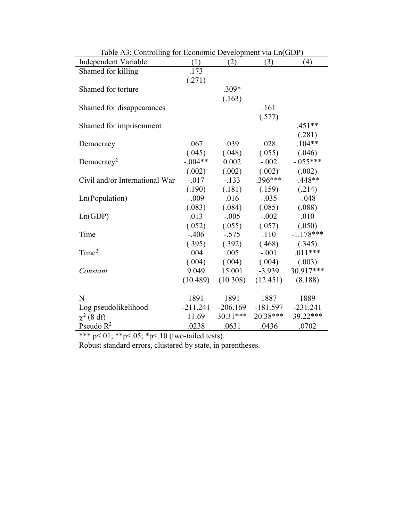| $1400$ $15.$ Controlling for Economic Development via Englobe<br>Independent Variable | (1)        | (2)                | (3)        | (4)         |
|---------------------------------------------------------------------------------------|------------|--------------------|------------|-------------|
| Shamed for killing                                                                    | .173       |                    |            |             |
|                                                                                       | (.271)     |                    |            |             |
| Shamed for torture                                                                    |            | $.309*$            |            |             |
|                                                                                       |            | (.163)             |            |             |
| Shamed for disappearances                                                             |            |                    | .161       |             |
|                                                                                       |            |                    | (.577)     |             |
| Shamed for imprisonment                                                               |            |                    |            | $.451**$    |
|                                                                                       |            |                    |            | (.281)      |
| Democracy                                                                             | .067       | .039               | .028       | $.104**$    |
|                                                                                       | (.045)     | (.048)             | (.055)     | (.046)      |
| Democracy <sup>2</sup>                                                                | $-.004**$  | 0.002              | $-.002$    | $-.055***$  |
|                                                                                       | (.002)     | (.002)             | (.002)     | (.002)      |
| Civil and/or International War                                                        | $-.017$    | $-.133$            | $.396***$  | $-.448**$   |
|                                                                                       | (.190)     | (.181)             | (.159)     | (.214)      |
| Ln(Population)                                                                        | $-.009$    | .016               | $-.035$    | $-.048$     |
|                                                                                       | (.083)     | (.084)             | (.085)     | (.088)      |
| Ln(GDP)                                                                               | .013       | $-.005$            | $-.002$    | .010        |
|                                                                                       | (.052)     | (.055)             | (.057)     | (.050)      |
| Time                                                                                  | $-.406$    | $-.575$            | .110       | $-1.178***$ |
|                                                                                       | (.395)     | (.392)             | (.468)     | (.345)      |
| Time <sup>2</sup>                                                                     | .004       | .005               | $-.001$    | $.011***$   |
|                                                                                       | (.004)     | (.004)             | (.004)     | (.003)      |
| Constant                                                                              | 9.049      | 15.001             | $-3.939$   | 30.917***   |
|                                                                                       | (10.489)   | (10.308)           | (12.451)   | (8.188)     |
|                                                                                       |            |                    |            |             |
| N                                                                                     | 1891       | 1891               | 1887       | 1889        |
| Log pseudolikelihood                                                                  | $-211.241$ | $-206.169$         | $-181.597$ | $-231.241$  |
| $\chi^2$ (8 df)                                                                       | 11.69      | $30.31***$         | 20.38***   | 39.22***    |
| Pseudo $R^2$<br>$444$ and $44$ and $10\%$                                             | .0238      | .0631<br>$\lambda$ | .0436      | .0702       |

Table A3: Controlling for Economic Development via Ln(GDP)

\*\*\*  $p \le 01$ ; \*\* $p \le 05$ ; \* $p \le 10$  (two-tailed tests).

Robust standard errors, clustered by state, in parentheses.